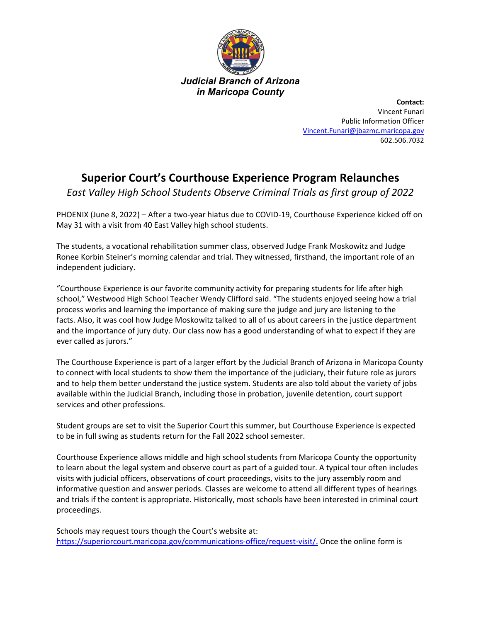

**Contact:** Vincent Funari Public Information Officer [Vincent.Funari@jbazmc.maricopa.gov](mailto:Vincent.Funari@jbazmc.maricopa.gov) 602.506.7032

## **Superior Court's Courthouse Experience Program Relaunches**

*East Valley High School Students Observe Criminal Trials as first group of 2022*

PHOENIX (June 8, 2022) – After a two-year hiatus due to COVID-19, Courthouse Experience kicked off on May 31 with a visit from 40 East Valley high school students.

The students, a vocational rehabilitation summer class, observed Judge Frank Moskowitz and Judge Ronee Korbin Steiner's morning calendar and trial. They witnessed, firsthand, the important role of an independent judiciary.

"Courthouse Experience is our favorite community activity for preparing students for life after high school," Westwood High School Teacher Wendy Clifford said. "The students enjoyed seeing how a trial process works and learning the importance of making sure the judge and jury are listening to the facts. Also, it was cool how Judge Moskowitz talked to all of us about careers in the justice department and the importance of jury duty. Our class now has a good understanding of what to expect if they are ever called as jurors."

The Courthouse Experience is part of a larger effort by the Judicial Branch of Arizona in Maricopa County to connect with local students to show them the importance of the judiciary, their future role as jurors and to help them better understand the justice system. Students are also told about the variety of jobs available within the Judicial Branch, including those in probation, juvenile detention, court support services and other professions.

Student groups are set to visit the Superior Court this summer, but Courthouse Experience is expected to be in full swing as students return for the Fall 2022 school semester.

Courthouse Experience allows middle and high school students from Maricopa County the opportunity to learn about the legal system and observe court as part of a guided tour. A typical tour often includes visits with judicial officers, observations of court proceedings, visits to the jury assembly room and informative question and answer periods. Classes are welcome to attend all different types of hearings and trials if the content is appropriate. Historically, most schools have been interested in criminal court proceedings.

Schools may request tours though the Court's website at: [https://superiorcourt.maricopa.gov/communications-office/request-visit/.](https://superiorcourt.maricopa.gov/communications-office/request-visit/) Once the online form is